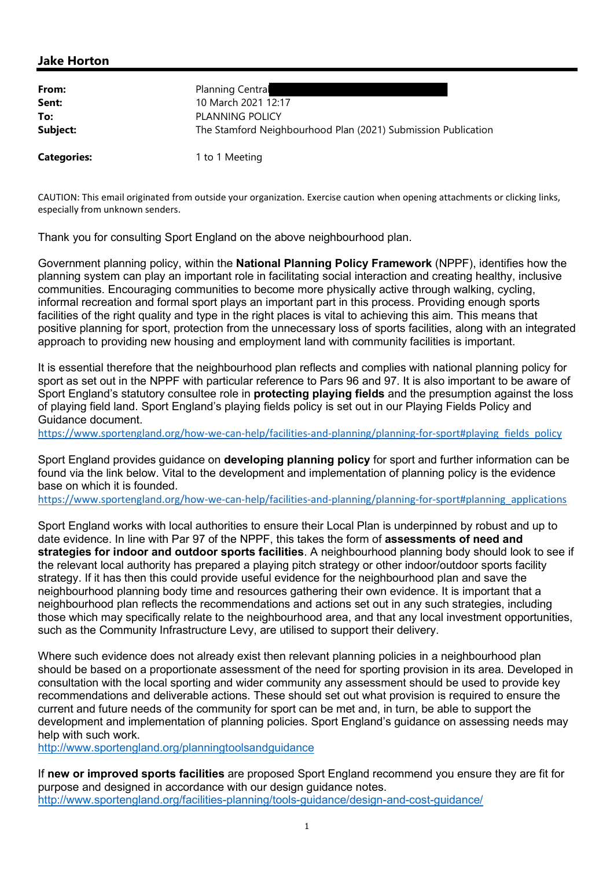## Jake Horton

| From:              | <b>Planning Central</b>                                       |
|--------------------|---------------------------------------------------------------|
| Sent:              | 10 March 2021 12:17                                           |
| To:                | PLANNING POLICY                                               |
| Subject:           | The Stamford Neighbourhood Plan (2021) Submission Publication |
| <b>Categories:</b> | 1 to 1 Meeting                                                |

CAUTION: This email originated from outside your organization. Exercise caution when opening attachments or clicking links, especially from unknown senders.

Thank you for consulting Sport England on the above neighbourhood plan.

Government planning policy, within the **National Planning Policy Framework** (NPPF), identifies how the planning system can play an important role in facilitating social interaction and creating healthy, inclusive communities. Encouraging communities to become more physically active through walking, cycling, informal recreation and formal sport plays an important part in this process. Providing enough sports facilities of the right quality and type in the right places is vital to achieving this aim. This means that positive planning for sport, protection from the unnecessary loss of sports facilities, along with an integrated approach to providing new housing and employment land with community facilities is important.

It is essential therefore that the neighbourhood plan reflects and complies with national planning policy for sport as set out in the NPPF with particular reference to Pars 96 and 97. It is also important to be aware of Sport England's statutory consultee role in **protecting playing fields** and the presumption against the loss of playing field land. Sport England's playing fields policy is set out in our Playing Fields Policy and Guidance document.

https://www.sportengland.org/how-we-can-help/facilities-and-planning/planning-for-sport#playing\_fields\_policy

Sport England provides guidance on **developing planning policy** for sport and further information can be found via the link below. Vital to the development and implementation of planning policy is the evidence base on which it is founded.

https://www.sportengland.org/how-we-can-help/facilities-and-planning/planning-for-sport#planning\_applications

Sport England works with local authorities to ensure their Local Plan is underpinned by robust and up to date evidence. In line with Par 97 of the NPPF, this takes the form of assessments of need and strategies for indoor and outdoor sports facilities. A neighbourhood planning body should look to see if the relevant local authority has prepared a playing pitch strategy or other indoor/outdoor sports facility strategy. If it has then this could provide useful evidence for the neighbourhood plan and save the neighbourhood planning body time and resources gathering their own evidence. It is important that a neighbourhood plan reflects the recommendations and actions set out in any such strategies, including those which may specifically relate to the neighbourhood area, and that any local investment opportunities, such as the Community Infrastructure Levy, are utilised to support their delivery.

Where such evidence does not already exist then relevant planning policies in a neighbourhood plan should be based on a proportionate assessment of the need for sporting provision in its area. Developed in consultation with the local sporting and wider community any assessment should be used to provide key recommendations and deliverable actions. These should set out what provision is required to ensure the current and future needs of the community for sport can be met and, in turn, be able to support the development and implementation of planning policies. Sport England's guidance on assessing needs may help with such work.

http://www.sportengland.org/planningtoolsandguidance

If new or improved sports facilities are proposed Sport England recommend you ensure they are fit for purpose and designed in accordance with our design guidance notes. http://www.sportengland.org/facilities-planning/tools-guidance/design-and-cost-guidance/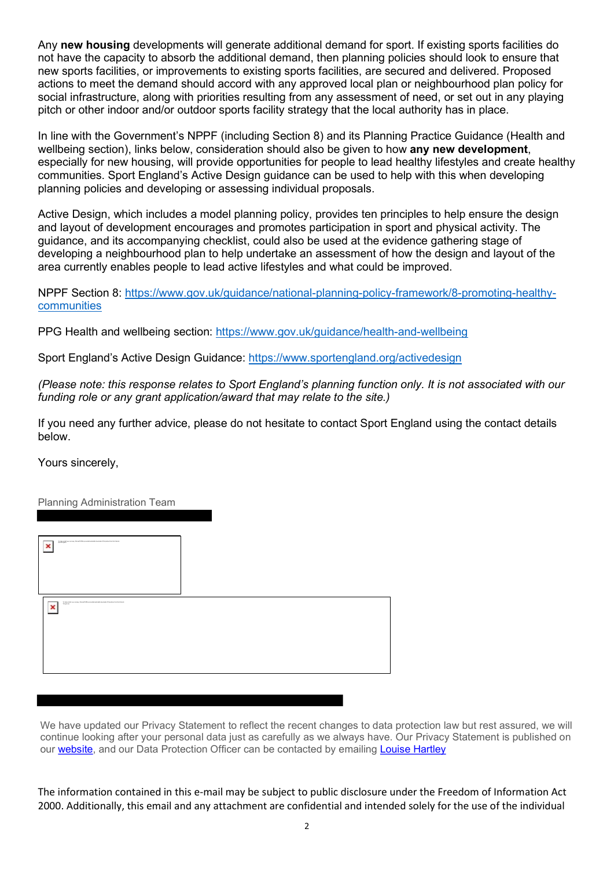Any new housing developments will generate additional demand for sport. If existing sports facilities do not have the capacity to absorb the additional demand, then planning policies should look to ensure that new sports facilities, or improvements to existing sports facilities, are secured and delivered. Proposed actions to meet the demand should accord with any approved local plan or neighbourhood plan policy for social infrastructure, along with priorities resulting from any assessment of need, or set out in any playing pitch or other indoor and/or outdoor sports facility strategy that the local authority has in place.

In line with the Government's NPPF (including Section 8) and its Planning Practice Guidance (Health and wellbeing section), links below, consideration should also be given to how any new development, especially for new housing, will provide opportunities for people to lead healthy lifestyles and create healthy communities. Sport England's Active Design guidance can be used to help with this when developing planning policies and developing or assessing individual proposals.

Active Design, which includes a model planning policy, provides ten principles to help ensure the design and layout of development encourages and promotes participation in sport and physical activity. The guidance, and its accompanying checklist, could also be used at the evidence gathering stage of developing a neighbourhood plan to help undertake an assessment of how the design and layout of the area currently enables people to lead active lifestyles and what could be improved.

NPPF Section 8: https://www.gov.uk/guidance/national-planning-policy-framework/8-promoting-healthycommunities

PPG Health and wellbeing section: https://www.gov.uk/guidance/health-and-wellbeing

Sport England's Active Design Guidance: https://www.sportengland.org/activedesign

(Please note: this response relates to Sport England's planning function only. It is not associated with our funding role or any grant application/award that may relate to the site.)

If you need any further advice, please do not hesitate to contact Sport England using the contact details below.

Yours sincerely,

Planning Administration Team

| [shalp protect your privacy, Microsoft Office prevented automatic document of this picture from the Internal.<br>Apartmepend<br>× |  |  |
|-----------------------------------------------------------------------------------------------------------------------------------|--|--|
| To help pretent your pricess, Homes E-Filee precented automate download of this picture from the Internet. This prices<br>×       |  |  |
|                                                                                                                                   |  |  |

We have updated our Privacy Statement to reflect the recent changes to data protection law but rest assured, we will continue looking after your personal data just as carefully as we always have. Our Privacy Statement is published on our website, and our Data Protection Officer can be contacted by emailing Louise Hartley

The information contained in this e-mail may be subject to public disclosure under the Freedom of Information Act 2000. Additionally, this email and any attachment are confidential and intended solely for the use of the individual